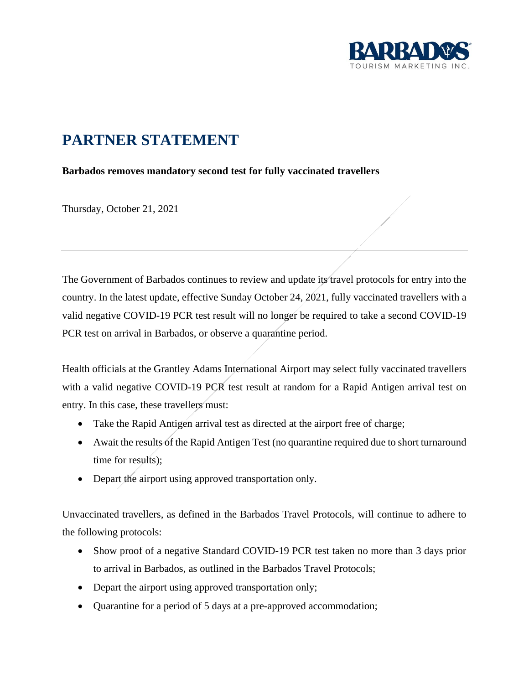

## **PARTNER STATEMENT**

**Barbados removes mandatory second test for fully vaccinated travellers**

Thursday, October 21, 2021

The Government of Barbados continues to review and update its travel protocols for entry into the country. In the latest update, effective Sunday October 24, 2021, fully vaccinated travellers with a valid negative COVID-19 PCR test result will no longer be required to take a second COVID-19 PCR test on arrival in Barbados, or observe a quarantine period.

Health officials at the Grantley Adams International Airport may select fully vaccinated travellers with a valid negative COVID-19 PCR test result at random for a Rapid Antigen arrival test on entry. In this case, these travellers must:

- Take the Rapid Antigen arrival test as directed at the airport free of charge;
- Await the results of the Rapid Antigen Test (no quarantine required due to short turnaround time for results);
- Depart the airport using approved transportation only.

Unvaccinated travellers, as defined in the Barbados Travel Protocols, will continue to adhere to the following protocols:

- Show proof of a negative Standard COVID-19 PCR test taken no more than 3 days prior to arrival in Barbados, as outlined in the Barbados Travel Protocols;
- Depart the airport using approved transportation only;
- Quarantine for a period of 5 days at a pre-approved accommodation;